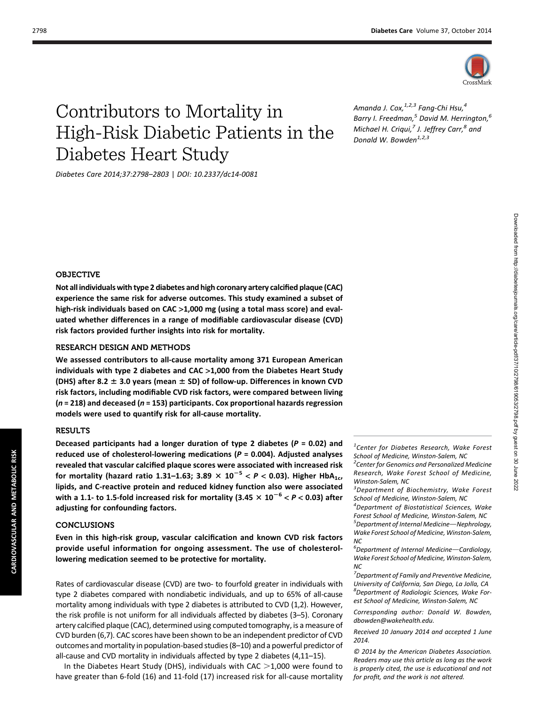

# Contributors to Mortality in High-Risk Diabetic Patients in the Diabetes Heart Study

Diabetes Care 2014;37:2798–2803 | DOI: 10.2337/dc14-0081

Amanda J. Cox,  $^{1,2,3}$  Fang-Chi Hsu,  $^{4}$ Barry I. Freedman, $^5$  David M. Herrington, $^6$ Michael H. Criqui,<sup>7</sup> J. Jeffrey Carr,<sup>8</sup> and Donald W. Bowden<sup>1,2,3</sup>

# OBJECTIVE

Not all individuals with type 2 diabetes and high coronary artery calcified plaque (CAC) experience the same risk for adverse outcomes. This study examined a subset of high-risk individuals based on CAC >1,000 mg (using a total mass score) and evaluated whether differences in a range of modifiable cardiovascular disease (CVD) risk factors provided further insights into risk for mortality.

## RESEARCH DESIGN AND METHODS

We assessed contributors to all-cause mortality among 371 European American individuals with type 2 diabetes and CAC >1,000 from the Diabetes Heart Study (DHS) after 8.2  $\pm$  3.0 years (mean  $\pm$  SD) of follow-up. Differences in known CVD risk factors, including modifiable CVD risk factors, were compared between living  $(n = 218)$  and deceased  $(n = 153)$  participants. Cox proportional hazards regression models were used to quantify risk for all-cause mortality.

#### RESULTS

Deceased participants had a longer duration of type 2 diabetes ( $P = 0.02$ ) and reduced use of cholesterol-lowering medications ( $P = 0.004$ ). Adjusted analyses revealed that vascular calcified plaque scores were associated with increased risk for mortality (hazard ratio 1.31–1.63; 3.89  $\times$  10<sup>-5</sup> < P < 0.03). Higher HbA<sub>1c</sub>, lipids, and C-reactive protein and reduced kidney function also were associated with a 1.1- to 1.5-fold increased risk for mortality (3.45  $\times$  10<sup>-6</sup> < P < 0.03) after adjusting for confounding factors.

#### CONCLUSIONS

Even in this high-risk group, vascular calcification and known CVD risk factors provide useful information for ongoing assessment. The use of cholesterollowering medication seemed to be protective for mortality.

Rates of cardiovascular disease (CVD) are two- to fourfold greater in individuals with type 2 diabetes compared with nondiabetic individuals, and up to 65% of all-cause mortality among individuals with type 2 diabetes is attributed to CVD (1,2). However, the risk profile is not uniform for all individuals affected by diabetes (3–5). Coronary artery calcified plaque (CAC), determined using computed tomography, is a measure of CVD burden (6,7). CAC scores have been shown to be an independent predictor of CVD outcomes and mortality in population-based studies (8–10) and a powerful predictor of all-cause and CVD mortality in individuals affected by type 2 diabetes (4,11–15).

In the Diabetes Heart Study (DHS), individuals with CAC  $>$ 1,000 were found to have greater than 6-fold (16) and 11-fold (17) increased risk for all-cause mortality

<sup>1</sup>Center for Diabetes Research, Wake Forest School of Medicine, Winston-Salem, NC

<sup>2</sup> Center for Genomics and Personalized Medicine Research, Wake Forest School of Medicine, Winston-Salem, NC

<sup>3</sup>Department of Biochemistry, Wake Forest School of Medicine, Winston-Salem, NC

4 Department of Biostatistical Sciences, Wake Forest School of Medicine, Winston-Salem, NC <sup>5</sup> Department of Internal Medicine—Nephrology, Wake Forest School of Medicine, Winston-Salem,

NC  ${}^6$ Department of Internal Medicine—Cardiology,

<sup>7</sup> Department of Family and Preventive Medicine, University of California, San Diego, La Jolla, CA 8 Department of Radiologic Sciences, Wake Forest School of Medicine, Winston-Salem, NC

Corresponding author: Donald W. Bowden, [dbowden@wakehealth.edu](mailto:dbowden@wakehealth.edu).

Received 10 January 2014 and accepted 1 June 2014.

© 2014 by the American Diabetes Association. Readers may use this article as long as the work is properly cited, the use is educational and not for profit, and the work is not altered.

Wake Forest School of Medicine, Winston-Salem, NC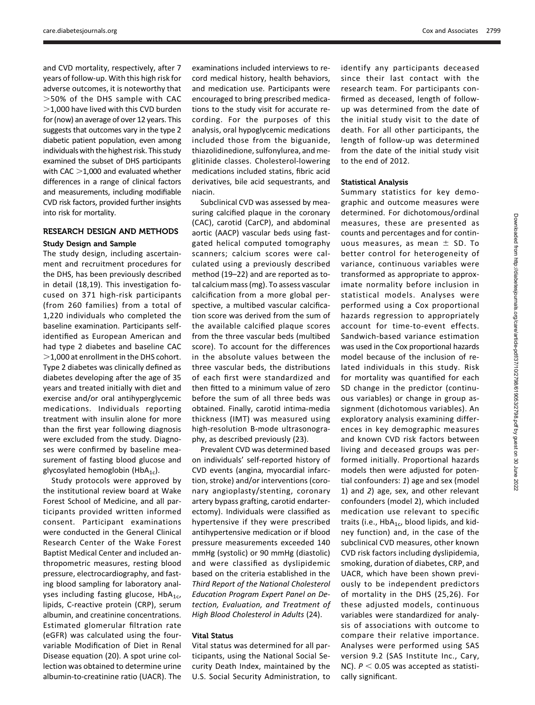and CVD mortality, respectively, after 7 years of follow-up. With this high risk for adverse outcomes, it is noteworthy that .50% of the DHS sample with CAC  $>$ 1,000 have lived with this CVD burden for (now) an average of over 12 years. This suggests that outcomes vary in the type 2 diabetic patient population, even among individuals with the highest risk. This study examined the subset of DHS participants with CAC  $>$ 1,000 and evaluated whether differences in a range of clinical factors and measurements, including modifiable CVD risk factors, provided further insights into risk for mortality.

# RESEARCH DESIGN AND METHODS

### Study Design and Sample

The study design, including ascertainment and recruitment procedures for the DHS, has been previously described in detail (18,19). This investigation focused on 371 high-risk participants (from 260 families) from a total of 1,220 individuals who completed the baseline examination. Participants selfidentified as European American and had type 2 diabetes and baseline CAC  $>$ 1,000 at enrollment in the DHS cohort. Type 2 diabetes was clinically defined as diabetes developing after the age of 35 years and treated initially with diet and exercise and/or oral antihyperglycemic medications. Individuals reporting treatment with insulin alone for more than the first year following diagnosis were excluded from the study. Diagnoses were confirmed by baseline measurement of fasting blood glucose and glycosylated hemoglobin (HbA<sub>1c</sub>).

Study protocols were approved by the institutional review board at Wake Forest School of Medicine, and all participants provided written informed consent. Participant examinations were conducted in the General Clinical Research Center of the Wake Forest Baptist Medical Center and included anthropometric measures, resting blood pressure, electrocardiography, and fasting blood sampling for laboratory analyses including fasting glucose,  $HbA_{1c}$ , lipids, C-reactive protein (CRP), serum albumin, and creatinine concentrations. Estimated glomerular filtration rate (eGFR) was calculated using the fourvariable Modification of Diet in Renal Disease equation (20). A spot urine collection was obtained to determine urine albumin-to-creatinine ratio (UACR). The

examinations included interviews to record medical history, health behaviors, and medication use. Participants were encouraged to bring prescribed medications to the study visit for accurate recording. For the purposes of this analysis, oral hypoglycemic medications included those from the biguanide, thiazolidinedione, sulfonylurea, and meglitinide classes. Cholesterol-lowering medications included statins, fibric acid derivatives, bile acid sequestrants, and niacin.

Subclinical CVD was assessed by measuring calcified plaque in the coronary (CAC), carotid (CarCP), and abdominal aortic (AACP) vascular beds using fastgated helical computed tomography scanners; calcium scores were calculated using a previously described method (19–22) and are reported as total calcium mass (mg). To assess vascular calcification from a more global perspective, a multibed vascular calcification score was derived from the sum of the available calcified plaque scores from the three vascular beds (multibed score). To account for the differences in the absolute values between the three vascular beds, the distributions of each first were standardized and then fitted to a minimum value of zero before the sum of all three beds was obtained. Finally, carotid intima-media thickness (IMT) was measured using high-resolution B-mode ultrasonography, as described previously (23).

Prevalent CVD was determined based on individuals' self-reported history of CVD events (angina, myocardial infarction, stroke) and/or interventions (coronary angioplasty/stenting, coronary artery bypass grafting, carotid endarterectomy). Individuals were classified as hypertensive if they were prescribed antihypertensive medication or if blood pressure measurements exceeded 140 mmHg (systolic) or 90 mmHg (diastolic) and were classified as dyslipidemic based on the criteria established in the Third Report of the National Cholesterol Education Program Expert Panel on Detection, Evaluation, and Treatment of High Blood Cholesterol in Adults (24).

#### Vital Status

Vital status was determined for all participants, using the National Social Security Death Index, maintained by the U.S. Social Security Administration, to

identify any participants deceased since their last contact with the research team. For participants confirmed as deceased, length of followup was determined from the date of the initial study visit to the date of death. For all other participants, the length of follow-up was determined from the date of the initial study visit to the end of 2012.

#### Statistical Analysis

Summary statistics for key demographic and outcome measures were determined. For dichotomous/ordinal measures, these are presented as counts and percentages and for continuous measures, as mean  $\pm$  SD. To better control for heterogeneity of variance, continuous variables were transformed as appropriate to approximate normality before inclusion in statistical models. Analyses were performed using a Cox proportional hazards regression to appropriately account for time-to-event effects. Sandwich-based variance estimation was used in the Cox proportional hazards model because of the inclusion of related individuals in this study. Risk for mortality was quantified for each SD change in the predictor (continuous variables) or change in group assignment (dichotomous variables). An exploratory analysis examining differences in key demographic measures and known CVD risk factors between living and deceased groups was performed initially. Proportional hazards models then were adjusted for potential confounders: 1) age and sex (model 1) and 2) age, sex, and other relevant confounders (model 2), which included medication use relevant to specific traits (i.e.,  $HbA_{1c}$ , blood lipids, and kidney function) and, in the case of the subclinical CVD measures, other known CVD risk factors including dyslipidemia, smoking, duration of diabetes, CRP, and UACR, which have been shown previously to be independent predictors of mortality in the DHS (25,26). For these adjusted models, continuous variables were standardized for analysis of associations with outcome to compare their relative importance. Analyses were performed using SAS version 9.2 (SAS Institute Inc., Cary, NC).  $P < 0.05$  was accepted as statistically significant.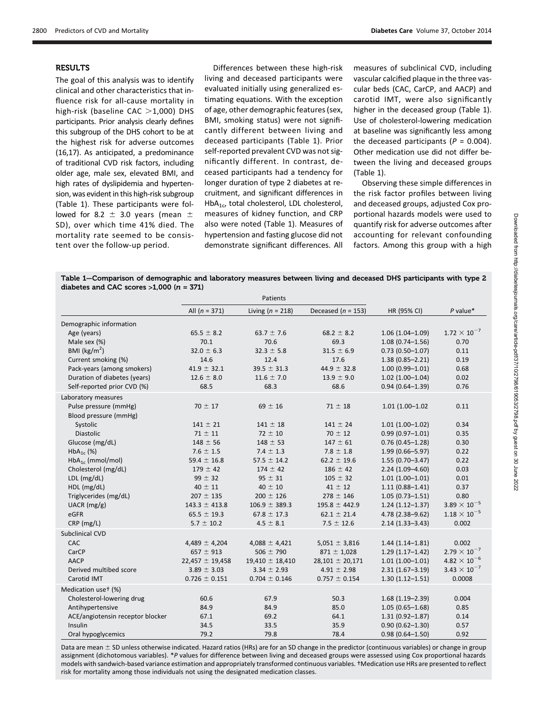### **RESULTS**

The goal of this analysis was to identify clinical and other characteristics that influence risk for all-cause mortality in high-risk (baseline CAC  $>1,000$ ) DHS participants. Prior analysis clearly defines this subgroup of the DHS cohort to be at the highest risk for adverse outcomes (16,17). As anticipated, a predominance of traditional CVD risk factors, including older age, male sex, elevated BMI, and high rates of dyslipidemia and hypertension, was evident in this high-risk subgroup (Table 1). These participants were followed for 8.2  $\pm$  3.0 years (mean  $\pm$ SD), over which time 41% died. The mortality rate seemed to be consistent over the follow-up period.

Differences between these high-risk living and deceased participants were evaluated initially using generalized estimating equations. With the exception of age, other demographic features (sex, BMI, smoking status) were not significantly different between living and deceased participants (Table 1). Prior self-reported prevalent CVD was not significantly different. In contrast, deceased participants had a tendency for longer duration of type 2 diabetes at recruitment, and significant differences in  $HbA_{1c}$ , total cholesterol, LDL cholesterol, measures of kidney function, and CRP also were noted (Table 1). Measures of hypertension and fasting glucose did not demonstrate significant differences. All

measures of subclinical CVD, including vascular calcified plaque in the three vascular beds (CAC, CarCP, and AACP) and carotid IMT, were also significantly higher in the deceased group (Table 1). Use of cholesterol-lowering medication at baseline was significantly less among the deceased participants ( $P = 0.004$ ). Other medication use did not differ between the living and deceased groups (Table 1).

Observing these simple differences in the risk factor profiles between living and deceased groups, adjusted Cox proportional hazards models were used to quantify risk for adverse outcomes after accounting for relevant confounding factors. Among this group with a high

Table 1—Comparison of demographic and laboratory measures between living and deceased DHS participants with type 2 diabetes and CAC scores  $>1,000$  (n = 371)

|                                  |                     | Patients            |                        |                     |                       |
|----------------------------------|---------------------|---------------------|------------------------|---------------------|-----------------------|
|                                  | All $(n = 371)$     | Living $(n = 218)$  | Deceased ( $n = 153$ ) | HR (95% CI)         | $P$ value*            |
| Demographic information          |                     |                     |                        |                     |                       |
| Age (years)                      | $65.5 \pm 8.2$      | 63.7 $\pm$ 7.6      | $68.2 \pm 8.2$         | $1.06(1.04 - 1.09)$ | $1.72 \times 10^{-7}$ |
| Male sex (%)                     | 70.1                | 70.6                | 69.3                   | $1.08(0.74 - 1.56)$ | 0.70                  |
| BMI ( $\text{kg/m}^2$ )          | $32.0 \pm 6.3$      | $32.3 \pm 5.8$      | $31.5 \pm 6.9$         | $0.73(0.50 - 1.07)$ | 0.11                  |
| Current smoking (%)              | 14.6                | 12.4                | 17.6                   | $1.38(0.85 - 2.21)$ | 0.19                  |
| Pack-years (among smokers)       | $41.9 \pm 32.1$     | $39.5 \pm 31.3$     | $44.9 \pm 32.8$        | $1.00(0.99 - 1.01)$ | 0.68                  |
| Duration of diabetes (years)     | $12.6 \pm 8.0$      | $11.6 \pm 7.0$      | $13.9 \pm 9.0$         | $1.02(1.00-1.04)$   | 0.02                  |
| Self-reported prior CVD (%)      | 68.5                | 68.3                | 68.6                   | $0.94(0.64 - 1.39)$ | 0.76                  |
| Laboratory measures              |                     |                     |                        |                     |                       |
| Pulse pressure (mmHg)            | $70 \pm 17$         | $69 \pm 16$         | $71 \pm 18$            | $1.01(1.00 - 1.02)$ | 0.11                  |
| Blood pressure (mmHg)            |                     |                     |                        |                     |                       |
| Systolic                         | $141 \pm 21$        | $141 \pm 18$        | $141 \pm 24$           | $1.01(1.00-1.02)$   | 0.34                  |
| <b>Diastolic</b>                 | $71 \pm 11$         | $72 \pm 10$         | $70 \pm 12$            | $0.99(0.97 - 1.01)$ | 0.35                  |
| Glucose (mg/dL)                  | $148 \pm 56$        | $148 \pm 53$        | $147 \pm 61$           | $0.76(0.45 - 1.28)$ | 0.30                  |
| $HbA_{1c}$ (%)                   | $7.6 \pm 1.5$       | $7.4 \pm 1.3$       | $7.8 \pm 1.8$          | $1.99(0.66 - 5.97)$ | 0.22                  |
| $HbA_{1c}$ (mmol/mol)            | 59.4 $\pm$ 16.8     | $57.5 \pm 14.2$     | $62.2 \pm 19.6$        | $1.55(0.70 - 3.47)$ | 0.22                  |
| Cholesterol (mg/dL)              | $179 \pm 42$        | $174 \pm 42$        | $186 \pm 42$           | $2.24(1.09 - 4.60)$ | 0.03                  |
| LDL (mg/dL)                      | $99 \pm 32$         | $95 \pm 31$         | $105 \pm 32$           | $1.01(1.00 - 1.01)$ | 0.01                  |
| HDL (mg/dL)                      | $40 \pm 11$         | $40 \pm 10$         | $41 \pm 12$            | $1.11(0.88 - 1.41)$ | 0.37                  |
| Triglycerides (mg/dL)            | $207 \pm 135$       | $200 \pm 126$       | $278 \pm 146$          | $1.05(0.73 - 1.51)$ | 0.80                  |
| UACR $(mg/g)$                    | $143.3 \pm 413.8$   | $106.9 \pm 389.3$   | $195.8 \pm 442.9$      | $1.24(1.12 - 1.37)$ | $3.89 \times 10^{-5}$ |
| eGFR                             | $65.5 \pm 19.3$     | $67.8 \pm 17.3$     | $62.1 \pm 21.4$        | 4.78 (2.38-9.62)    | $1.18 \times 10^{-5}$ |
| CRP (mg/L)                       | $5.7 \pm 10.2$      | $4.5 \pm 8.1$       | $7.5 \pm 12.6$         | $2.14(1.33 - 3.43)$ | 0.002                 |
| Subclinical CVD                  |                     |                     |                        |                     |                       |
| CAC                              | $4,489 \pm 4,204$   | $4,088 \pm 4,421$   | $5,051 \pm 3,816$      | $1.44(1.14 - 1.81)$ | 0.002                 |
| CarCP                            | $657 \pm 913$       | $506 \pm 790$       | $871 \pm 1,028$        | $1.29(1.17 - 1.42)$ | $2.79 \times 10^{-7}$ |
| <b>AACP</b>                      | $22,457 \pm 19,458$ | $19,410 \pm 18,410$ | $28,101 \pm 20,171$    | $1.01(1.00 - 1.01)$ | $4.82 \times 10^{-6}$ |
| Derived multibed score           | $3.89 \pm 3.03$     | $3.34 \pm 2.93$     | $4.91 \pm 2.98$        | $2.31(1.67 - 3.19)$ | $3.43 \times 10^{-7}$ |
| Carotid IMT                      | $0.726 \pm 0.151$   | $0.704 \pm 0.146$   | $0.757 \pm 0.154$      | $1.30(1.12 - 1.51)$ | 0.0008                |
| Medication use <sup>+</sup> (%)  |                     |                     |                        |                     |                       |
| Cholesterol-lowering drug        | 60.6                | 67.9                | 50.3                   | $1.68(1.19 - 2.39)$ | 0.004                 |
| Antihypertensive                 | 84.9                | 84.9                | 85.0                   | $1.05(0.65 - 1.68)$ | 0.85                  |
| ACE/angiotensin receptor blocker | 67.1                | 69.2                | 64.1                   | $1.31(0.92 - 1.87)$ | 0.14                  |
| Insulin                          | 34.5                | 33.5                | 35.9                   | $0.90(0.62 - 1.30)$ | 0.57                  |
| Oral hypoglycemics               | 79.2                | 79.8                | 78.4                   | $0.98(0.64 - 1.50)$ | 0.92                  |

Data are mean ± SD unless otherwise indicated. Hazard ratios (HRs) are for an SD change in the predictor (continuous variables) or change in group assignment (dichotomous variables). \*P values for difference between living and deceased groups were assessed using Cox proportional hazards models with sandwich-based variance estimation and appropriately transformed continuous variables. †Medication use HRs are presented to reflect risk for mortality among those individuals not using the designated medication classes.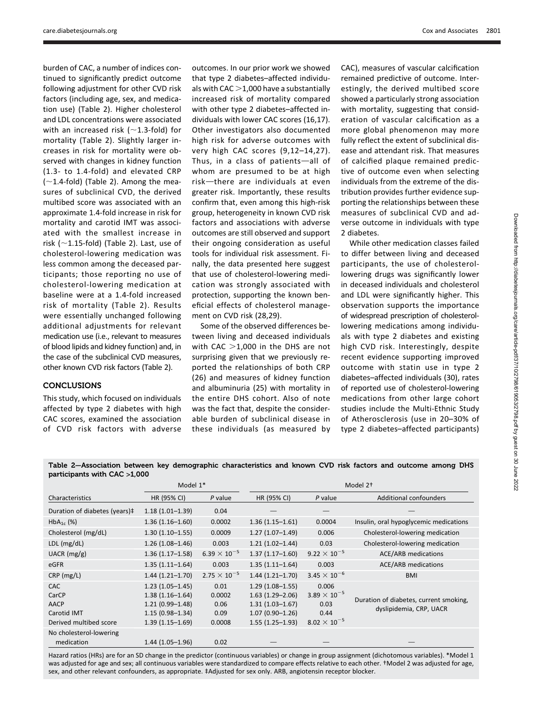burden of CAC, a number of indices continued to significantly predict outcome following adjustment for other CVD risk factors (including age, sex, and medication use) (Table 2). Higher cholesterol and LDL concentrations were associated with an increased risk ( $\sim$ 1.3-fold) for mortality (Table 2). Slightly larger increases in risk for mortality were observed with changes in kidney function (1.3- to 1.4-fold) and elevated CRP  $(-1.4-fold)$  (Table 2). Among the measures of subclinical CVD, the derived multibed score was associated with an approximate 1.4-fold increase in risk for mortality and carotid IMT was associated with the smallest increase in risk ( $\sim$ 1.15-fold) (Table 2). Last, use of cholesterol-lowering medication was less common among the deceased participants; those reporting no use of cholesterol-lowering medication at baseline were at a 1.4-fold increased risk of mortality (Table 2). Results were essentially unchanged following additional adjustments for relevant medication use (i.e., relevant to measures of blood lipids and kidney function) and, in the case of the subclinical CVD measures, other known CVD risk factors (Table 2).

# CONCLUSIONS

This study, which focused on individuals affected by type 2 diabetes with high CAC scores, examined the association of CVD risk factors with adverse

outcomes. In our prior work we showed that type 2 diabetes–affected individuals with CAC  $>$  1,000 have a substantially increased risk of mortality compared with other type 2 diabetes–affected individuals with lower CAC scores (16,17). Other investigators also documented high risk for adverse outcomes with very high CAC scores (9,12–14,27). Thus, in a class of patients-all of whom are presumed to be at high risk-there are individuals at even greater risk. Importantly, these results confirm that, even among this high-risk group, heterogeneity in known CVD risk factors and associations with adverse outcomes are still observed and support their ongoing consideration as useful tools for individual risk assessment. Finally, the data presented here suggest that use of cholesterol-lowering medication was strongly associated with protection, supporting the known beneficial effects of cholesterol management on CVD risk (28,29).

Some of the observed differences between living and deceased individuals with CAC  $>$ 1,000 in the DHS are not surprising given that we previously reported the relationships of both CRP (26) and measures of kidney function and albuminuria (25) with mortality in the entire DHS cohort. Also of note was the fact that, despite the considerable burden of subclinical disease in these individuals (as measured by CAC), measures of vascular calcification remained predictive of outcome. Interestingly, the derived multibed score showed a particularly strong association with mortality, suggesting that consideration of vascular calcification as a more global phenomenon may more fully reflect the extent of subclinical disease and attendant risk. That measures of calcified plaque remained predictive of outcome even when selecting individuals from the extreme of the distribution provides further evidence supporting the relationships between these measures of subclinical CVD and adverse outcome in individuals with type 2 diabetes.

While other medication classes failed to differ between living and deceased participants, the use of cholesterollowering drugs was significantly lower in deceased individuals and cholesterol and LDL were significantly higher. This observation supports the importance of widespread prescription of cholesterollowering medications among individuals with type 2 diabetes and existing high CVD risk. Interestingly, despite recent evidence supporting improved outcome with statin use in type 2 diabetes–affected individuals (30), rates of reported use of cholesterol-lowering medications from other large cohort studies include the Multi-Ethnic Study of Atherosclerosis (use in 20–30% of type 2 diabetes–affected participants)

Table 2—Association between key demographic characteristics and known CVD risk factors and outcome among DHS participants with CAC >1,000

|                                                                      | Model 1*                                                                                                        |                                          | Model 2 <sup>+</sup>                                                                                            |                                                                                  |                                                                   |  |
|----------------------------------------------------------------------|-----------------------------------------------------------------------------------------------------------------|------------------------------------------|-----------------------------------------------------------------------------------------------------------------|----------------------------------------------------------------------------------|-------------------------------------------------------------------|--|
| Characteristics                                                      | HR (95% CI)                                                                                                     | P value                                  | HR (95% CI)                                                                                                     | $P$ value                                                                        | <b>Additional confounders</b>                                     |  |
| Duration of diabetes (years)#                                        | $1.18(1.01 - 1.39)$                                                                                             | 0.04                                     |                                                                                                                 |                                                                                  |                                                                   |  |
| $HbA_{1c}$ (%)                                                       | $1.36(1.16 - 1.60)$                                                                                             | 0.0002                                   | $1.36(1.15 - 1.61)$                                                                                             | 0.0004                                                                           | Insulin, oral hypoglycemic medications                            |  |
| Cholesterol (mg/dL)                                                  | $1.30(1.10-1.55)$                                                                                               | 0.0009                                   | $1.27(1.07-1.49)$                                                                                               | 0.006                                                                            | Cholesterol-lowering medication                                   |  |
| LDL (mg/dL)                                                          | $1.26(1.08 - 1.46)$                                                                                             | 0.003                                    | $1.21(1.02 - 1.44)$                                                                                             | 0.03                                                                             | Cholesterol-lowering medication                                   |  |
| UACR $(mg/g)$                                                        | $1.36(1.17 - 1.58)$                                                                                             | $6.39 \times 10^{-5}$                    | $1.37(1.17 - 1.60)$                                                                                             | $9.22 \times 10^{-5}$                                                            | <b>ACE/ARB</b> medications                                        |  |
| eGFR                                                                 | $1.35(1.11 - 1.64)$                                                                                             | 0.003                                    | $1.35(1.11 - 1.64)$                                                                                             | 0.003                                                                            | <b>ACE/ARB</b> medications                                        |  |
| $CRP$ (mg/L)                                                         | $1.44(1.21 - 1.70)$                                                                                             | $2.75 \times 10^{-5}$                    | $1.44(1.21 - 1.70)$                                                                                             | $3.45\times10^{-6}$                                                              | <b>BMI</b>                                                        |  |
| <b>CAC</b><br>CarCP<br>AACP<br>Carotid IMT<br>Derived multibed score | $1.23(1.05 - 1.45)$<br>$1.38(1.16 - 1.64)$<br>$1.21(0.99 - 1.48)$<br>$1.15(0.98 - 1.34)$<br>$1.39(1.15 - 1.69)$ | 0.01<br>0.0002<br>0.06<br>0.09<br>0.0008 | $1.29(1.08 - 1.55)$<br>$1.63(1.29 - 2.06)$<br>$1.31(1.03 - 1.67)$<br>$1.07(0.90 - 1.26)$<br>$1.55(1.25 - 1.93)$ | 0.006<br>$3.89 \times 10^{-5}$<br>0.03<br>0.44<br>8.02 $\times$ 10 <sup>-5</sup> | Duration of diabetes, current smoking,<br>dyslipidemia, CRP, UACR |  |
| No cholesterol-lowering<br>medication                                | $1.44(1.05 - 1.96)$                                                                                             | 0.02                                     |                                                                                                                 |                                                                                  |                                                                   |  |

Hazard ratios (HRs) are for an SD change in the predictor (continuous variables) or change in group assignment (dichotomous variables). \*Model 1 was adjusted for age and sex; all continuous variables were standardized to compare effects relative to each other. †Model 2 was adjusted for age, sex, and other relevant confounders, as appropriate. ‡Adjusted for sex only. ARB, angiotensin receptor blocker.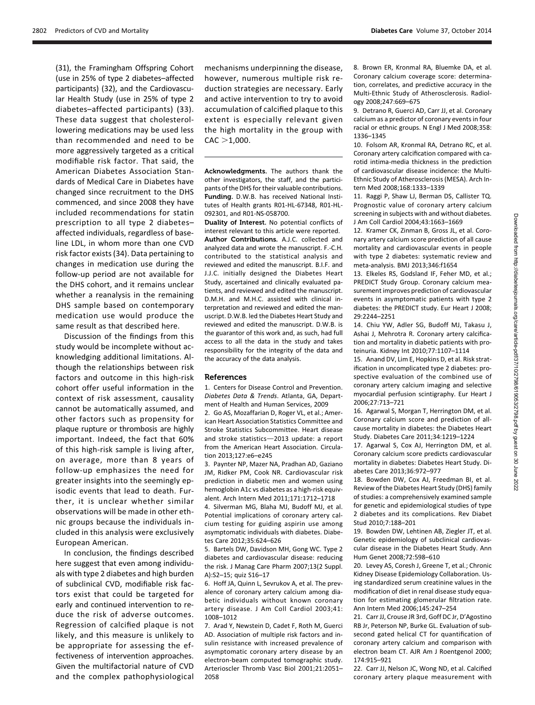(31), the Framingham Offspring Cohort (use in 25% of type 2 diabetes–affected participants) (32), and the Cardiovascular Health Study (use in 25% of type 2 diabetes–affected participants) (33). These data suggest that cholesterollowering medications may be used less than recommended and need to be more aggressively targeted as a critical modifiable risk factor. That said, the American Diabetes Association Standards of Medical Care in Diabetes have changed since recruitment to the DHS commenced, and since 2008 they have included recommendations for statin prescription to all type 2 diabetes– affected individuals, regardless of baseline LDL, in whom more than one CVD risk factor exists (34). Data pertaining to changes in medication use during the follow-up period are not available for the DHS cohort, and it remains unclear whether a reanalysis in the remaining DHS sample based on contemporary medication use would produce the same result as that described here.

Discussion of the findings from this study would be incomplete without acknowledging additional limitations. Although the relationships between risk factors and outcome in this high-risk cohort offer useful information in the context of risk assessment, causality cannot be automatically assumed, and other factors such as propensity for plaque rupture or thrombosis are highly important. Indeed, the fact that 60% of this high-risk sample is living after, on average, more than 8 years of follow-up emphasizes the need for greater insights into the seemingly episodic events that lead to death. Further, it is unclear whether similar observations will be made in other ethnic groups because the individuals included in this analysis were exclusively European American.

In conclusion, the findings described here suggest that even among individuals with type 2 diabetes and high burden of subclinical CVD, modifiable risk factors exist that could be targeted for early and continued intervention to reduce the risk of adverse outcomes. Regression of calcified plaque is not likely, and this measure is unlikely to be appropriate for assessing the effectiveness of intervention approaches. Given the multifactorial nature of CVD and the complex pathophysiological

mechanisms underpinning the disease, however, numerous multiple risk reduction strategies are necessary. Early and active intervention to try to avoid accumulation of calcified plaque to this extent is especially relevant given the high mortality in the group with  $CAC > 1,000.$ 

Acknowledgments. The authors thank the other investigators, the staff, and the participants of the DHS for their valuable contributions. Funding. D.W.B. has received National Institutes of Health grants R01-HL-67348, R01-HL-092301, and R01-NS-058700.

Duality of Interest. No potential conflicts of interest relevant to this article were reported. Author Contributions. A.J.C. collected and analyzed data and wrote the manuscript. F.-C.H. contributed to the statistical analysis and reviewed and edited the manuscript. B.I.F. and J.J.C. initially designed the Diabetes Heart Study, ascertained and clinically evaluated patients, and reviewed and edited the manuscript. D.M.H. and M.H.C. assisted with clinical interpretation and reviewed and edited the manuscript. D.W.B. led the Diabetes Heart Study and reviewed and edited the manuscript. D.W.B. is the guarantor of this work and, as such, had full access to all the data in the study and takes responsibility for the integrity of the data and the accuracy of the data analysis.

#### References

1. Centers for Disease Control and Prevention. Diabetes Data & Trends. Atlanta, GA, Department of Health and Human Services, 2009

2. Go AS, Mozaffarian D, Roger VL, et al.; American Heart Association Statistics Committee and Stroke Statistics Subcommittee. Heart disease and stroke statistics-2013 update: a report from the American Heart Association. Circulation 2013;127:e6–e245

3. Paynter NP, Mazer NA, Pradhan AD, Gaziano JM, Ridker PM, Cook NR. Cardiovascular risk prediction in diabetic men and women using hemoglobin A1c vs diabetes as a high-risk equivalent. Arch Intern Med 2011;171:1712–1718

4. Silverman MG, Blaha MJ, Budoff MJ, et al. Potential implications of coronary artery calcium testing for guiding aspirin use among asymptomatic individuals with diabetes. Diabetes Care 2012;35:624–626

5. Bartels DW, Davidson MH, Gong WC. Type 2 diabetes and cardiovascular disease: reducing the risk. J Manag Care Pharm 2007;13(2 Suppl. A):S2–15; quiz S16–17

6. Hoff JA, Quinn L, Sevrukov A, et al. The prevalence of coronary artery calcium among diabetic individuals without known coronary artery disease. J Am Coll Cardiol 2003;41: 1008–1012

7. Arad Y, Newstein D, Cadet F, Roth M, Guerci AD. Association of multiple risk factors and insulin resistance with increased prevalence of asymptomatic coronary artery disease by an electron-beam computed tomographic study. Arterioscler Thromb Vasc Biol 2001;21:2051– 2058

8. Brown ER, Kronmal RA, Bluemke DA, et al. Coronary calcium coverage score: determination, correlates, and predictive accuracy in the Multi-Ethnic Study of Atherosclerosis. Radiology 2008;247:669–675

9. Detrano R, Guerci AD, Carr JJ, et al. Coronary calcium as a predictor of coronary events in four racial or ethnic groups. N Engl J Med 2008;358: 1336–1345

10. Folsom AR, Kronmal RA, Detrano RC, et al. Coronary artery calcification compared with carotid intima-media thickness in the prediction of cardiovascular disease incidence: the Multi-Ethnic Study of Atherosclerosis (MESA). Arch Intern Med 2008;168:1333–1339

11. Raggi P, Shaw LJ, Berman DS, Callister TQ. Prognostic value of coronary artery calcium screening in subjects with and without diabetes. J Am Coll Cardiol 2004;43:1663–1669

12. Kramer CK, Zinman B, Gross JL, et al. Coronary artery calcium score prediction of all cause mortality and cardiovascular events in people with type 2 diabetes: systematic review and meta-analysis. BMJ 2013;346:f1654

13. Elkeles RS, Godsland IF, Feher MD, et al.; PREDICT Study Group. Coronary calcium measurement improves prediction of cardiovascular events in asymptomatic patients with type 2 diabetes: the PREDICT study. Eur Heart J 2008; 29:2244–2251

14. Chiu YW, Adler SG, Budoff MJ, Takasu J, Ashai J, Mehrotra R. Coronary artery calcification and mortality in diabetic patients with proteinuria. Kidney Int 2010;77:1107–1114

15. Anand DV, Lim E, Hopkins D, et al. Risk stratification in uncomplicated type 2 diabetes: prospective evaluation of the combined use of coronary artery calcium imaging and selective myocardial perfusion scintigraphy. Eur Heart J 2006;27:713–721

16. Agarwal S, Morgan T, Herrington DM, et al. Coronary calcium score and prediction of allcause mortality in diabetes: the Diabetes Heart Study. Diabetes Care 2011;34:1219–1224

17. Agarwal S, Cox AJ, Herrington DM, et al. Coronary calcium score predicts cardiovascular mortality in diabetes: Diabetes Heart Study. Diabetes Care 2013;36:972–977

18. Bowden DW, Cox AJ, Freedman BI, et al. Review of the Diabetes Heart Study (DHS) family of studies: a comprehensively examined sample for genetic and epidemiological studies of type 2 diabetes and its complications. Rev Diabet Stud 2010;7:188–201

19. Bowden DW, Lehtinen AB, Ziegler JT, et al. Genetic epidemiology of subclinical cardiovascular disease in the Diabetes Heart Study. Ann Hum Genet 2008;72:598–610

20. Levey AS, Coresh J, Greene T, et al.; Chronic Kidney Disease Epidemiology Collaboration. Using standardized serum creatinine values in the modification of diet in renal disease study equation for estimating glomerular filtration rate. Ann Intern Med 2006;145:247–254

21. Carr JJ, Crouse JR 3rd, Goff DC Jr, D'Agostino RB Jr, Peterson NP, Burke GL. Evaluation of subsecond gated helical CT for quantification of coronary artery calcium and comparison with electron beam CT. AJR Am J Roentgenol 2000; 174:915–921

22. Carr JJ, Nelson JC, Wong ND, et al. Calcified coronary artery plaque measurement with